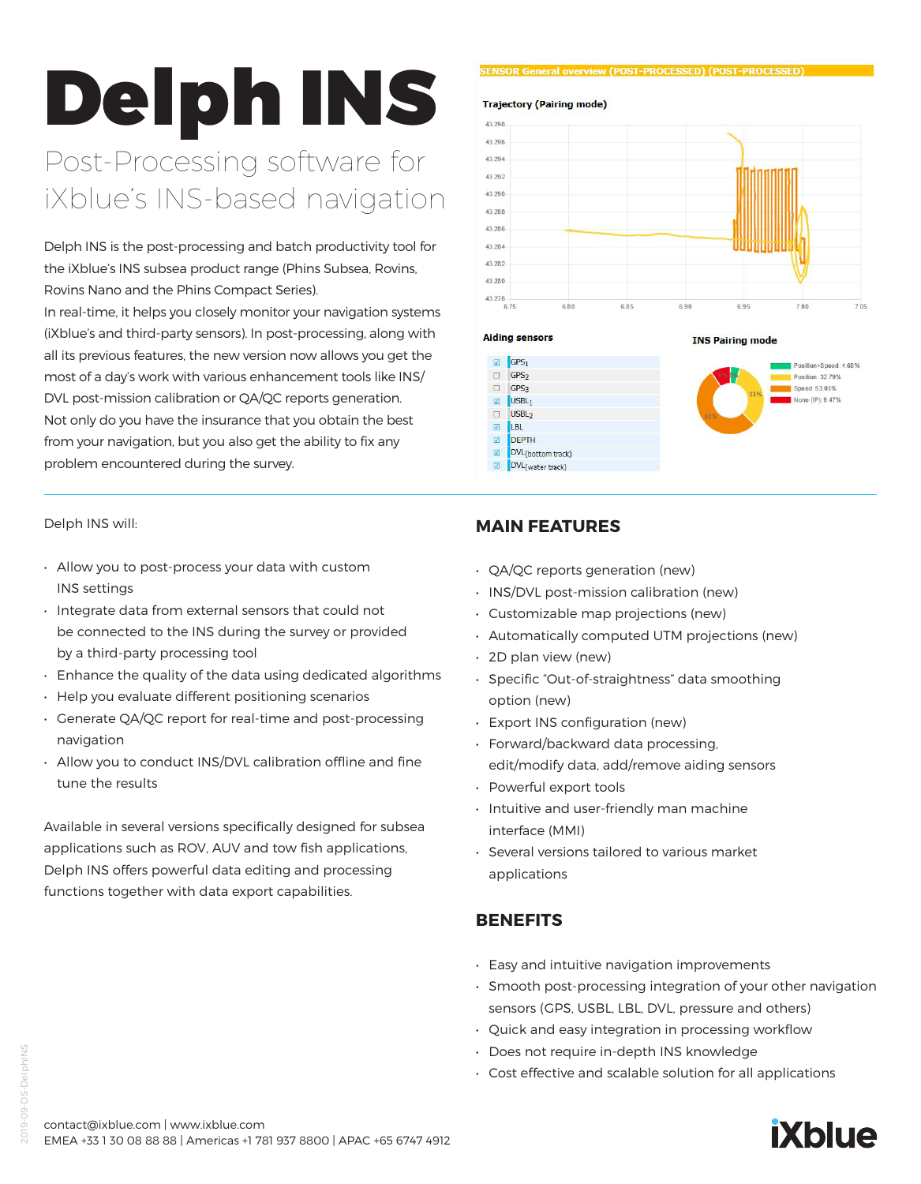# Delph INS

# Post-Processing software for iXblue's INS-based navigation

Delph INS is the post-processing and batch productivity tool for the iXblue's INS subsea product range (Phins Subsea, Rovins, Rovins Nano and the Phins Compact Series).

In real-time, it helps you closely monitor your navigation systems (iXblue's and third-party sensors). In post-processing, along with all its previous features, the new version now allows you get the most of a day's work with various enhancement tools like INS/ DVL post-mission calibration or QA/QC reports generation. Not only do you have the insurance that you obtain the best from your navigation, but you also get the ability to fix any problem encountered during the survey.

Delph INS will:

- Allow you to post-process your data with custom INS settings
- Integrate data from external sensors that could not be connected to the INS during the survey or provided by a third-party processing tool
- Enhance the quality of the data using dedicated algorithms
- Help you evaluate different positioning scenarios
- Generate QA/QC report for real-time and post-processing navigation
- Allow you to conduct INS/DVL calibration offline and fine tune the results

Available in several versions specifically designed for subsea applications such as ROV, AUV and tow fish applications, Delph INS offers powerful data editing and processing functions together with data export capabilities.

#### **CENCOD General overview (DOST-DDOCESSED) (DOST-DDOCESSE**



**Aiding sensors** 



# **MAIN FEATURES**

- QA/QC reports generation (new)
- INS/DVL post-mission calibration (new)
- Customizable map projections (new)
- Automatically computed UTM projections (new)
- 2D plan view (new)
- Specific "Out-of-straightness" data smoothing option (new)
- Export INS configuration (new)
- Forward/backward data processing, edit/modify data, add/remove aiding sensors
- Powerful export tools
- Intuitive and user-friendly man machine interface (MMI)
- Several versions tailored to various market applications

# **BENEFITS**

- Easy and intuitive navigation improvements
- Smooth post-processing integration of your other navigation sensors (GPS, USBL, LBL, DVL, pressure and others)
- Quick and easy integration in processing workflow
- Does not require in-depth INS knowledge
- Cost effective and scalable solution for all applications